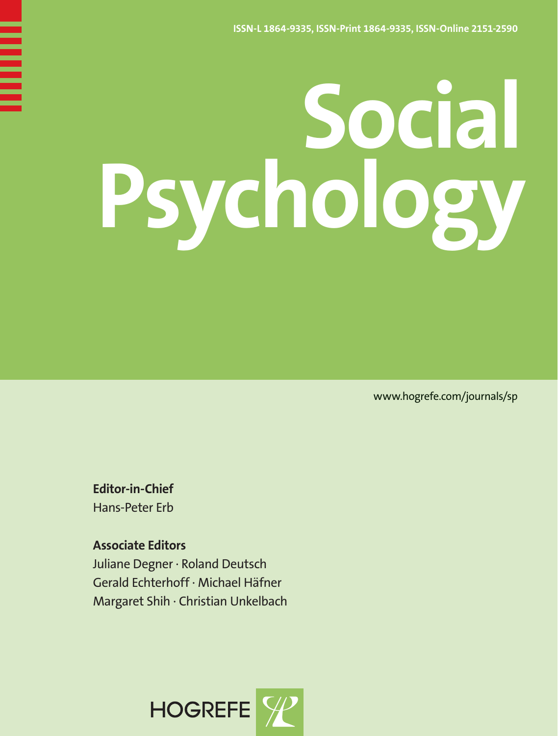# **Social Psychology**

www.hogrefe.com/journals/sp

**Editor-in-Chief** Hans-Peter Erb

**Associate Editors**  Juliane Degner · Roland Deutsch Gerald Echterhoff · Michael Häfner Margaret Shih · Christian Unkelbach

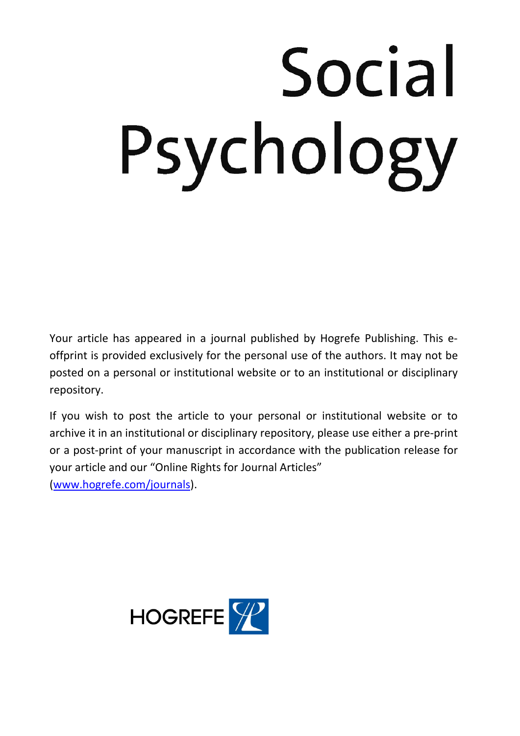# Social Psychology

Your article has appeared in a journal published by Hogrefe Publishing. This eoffprint is provided exclusively for the personal use of the authors. It may not be posted on a personal or institutional website or to an institutional or disciplinary repository.

If you wish to post the article to your personal or institutional website or to archive it in an institutional or disciplinary repository, please use either a pre-print or a post-print of your manuscript in accordance with the publication release for your article and our "Online Rights for Journal Articles"

(www.hogrefe.com/journals).

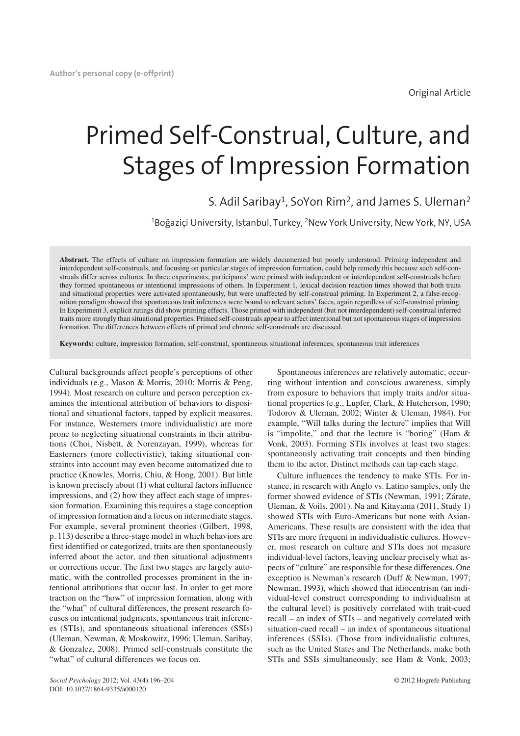# Primed Self-Construal, Culture, and Stages of Impression Formation

# S. Adil Saribay<sup>1</sup>, SoYon Rim<sup>2</sup>, and James S. Uleman<sup>2</sup>

 $^{\rm 1}$ Boğaziçi University, Istanbul, Turkey,  $^{\rm 2}$ New York University, New York, NY, USA

**Abstract.** The effects of culture on impression formation are widely documented but poorly understood. Priming independent and interdependent self-construals, and focusing on particular stages of impression formation, could help remedy this because such self-construals differ across cultures. In three experiments, participants' were primed with independent or interdependent self-construals before they formed spontaneous or intentional impressions of others. In Experiment 1, lexical decision reaction times showed that both traits and situational properties were activated spontaneously, but were unaffected by self-construal priming. In Experiment 2, a false-recognition paradigm showed that spontaneous trait inferences were bound to relevant actors' faces, again regardless of self-construal priming. In Experiment 3, explicit ratings did show priming effects. Those primed with independent (but not interdependent) self-construal inferred traits more strongly than situational properties. Primed self-construals appear to affect intentional but not spontaneous stages of impression formation. The differences between effects of primed and chronic self-construals are discussed.

**Keywords:** culture, impression formation, self-construal, spontaneous situational inferences, spontaneous trait inferences

Cultural backgrounds affect people's perceptions of other individuals (e.g., Mason & Morris, 2010; Morris & Peng, 1994). Most research on culture and person perception examines the intentional attribution of behaviors to dispositional and situational factors, tapped by explicit measures. For instance, Westerners (more individualistic) are more prone to neglecting situational constraints in their attributions (Choi, Nisbett, & Norenzayan, 1999), whereas for Easterners (more collectivistic), taking situational constraints into account may even become automatized due to practice (Knowles, Morris, Chiu, & Hong, 2001). But little is known precisely about (1) what cultural factors influence impressions, and (2) how they affect each stage of impression formation. Examining this requires a stage conception of impression formation and a focus on intermediate stages. For example, several prominent theories (Gilbert, 1998, p. 113) describe a three-stage model in which behaviors are first identified or categorized, traits are then spontaneously inferred about the actor, and then situational adjustments or corrections occur. The first two stages are largely automatic, with the controlled processes prominent in the intentional attributions that occur last. In order to get more traction on the "how" of impression formation, along with the "what" of cultural differences, the present research focuses on intentional judgments, spontaneous trait inferences (STIs), and spontaneous situational inferences (SSIs) (Uleman, Newman, & Moskowitz, 1996; Uleman, Saribay, & Gonzalez, 2008). Primed self-construals constitute the "what" of cultural differences we focus on.

Spontaneous inferences are relatively automatic, occurring without intention and conscious awareness, simply from exposure to behaviors that imply traits and/or situational properties (e.g., Lupfer, Clark, & Hutcherson, 1990; Todorov & Uleman, 2002; Winter & Uleman, 1984). For example, "Will talks during the lecture" implies that Will is "impolite," and that the lecture is "boring" (Ham & Vonk, 2003). Forming STIs involves at least two stages: spontaneously activating trait concepts and then binding them to the actor. Distinct methods can tap each stage.

Culture influences the tendency to make STIs. For instance, in research with Anglo vs. Latino samples, only the former showed evidence of STIs (Newman, 1991; Zárate, Uleman, & Voils, 2001). Na and Kitayama (2011, Study 1) showed STIs with Euro-Americans but none with Asian-Americans. These results are consistent with the idea that STIs are more frequent in individualistic cultures. However, most research on culture and STIs does not measure individual-level factors, leaving unclear precisely what aspects of "culture" are responsible for these differences. One exception is Newman's research (Duff & Newman, 1997; Newman, 1993), which showed that idiocentrism (an individual-level construct corresponding to individualism at the cultural level) is positively correlated with trait-cued recall – an index of STIs – and negatively correlated with situation-cued recall – an index of spontaneous situational inferences (SSIs). (Those from individualistic cultures, such as the United States and The Netherlands, make both STIs and SSIs simultaneously; see Ham & Vonk, 2003;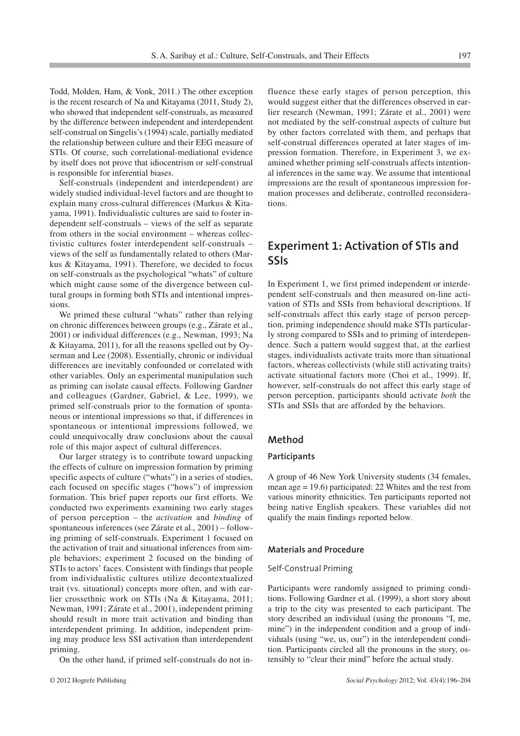Todd, Molden, Ham, & Vonk, 2011.) The other exception is the recent research of Na and Kitayama (2011, Study 2), who showed that independent self-construals, as measured by the difference between independent and interdependent self-construal on Singelis's (1994) scale, partially mediated the relationship between culture and their EEG measure of STIs. Of course, such correlational-mediational evidence by itself does not prove that idiocentrism or self-construal is responsible for inferential biases.

Self-construals (independent and interdependent) are widely studied individual-level factors and are thought to explain many cross-cultural differences (Markus & Kitayama, 1991). Individualistic cultures are said to foster independent self-construals – views of the self as separate from others in the social environment – whereas collectivistic cultures foster interdependent self-construals – views of the self as fundamentally related to others (Markus & Kitayama, 1991). Therefore, we decided to focus on self-construals as the psychological "whats" of culture which might cause some of the divergence between cultural groups in forming both STIs and intentional impressions.

We primed these cultural "whats" rather than relying on chronic differences between groups (e.g., Zárate et al., 2001) or individual differences (e.g., Newman, 1993; Na & Kitayama, 2011), for all the reasons spelled out by Oyserman and Lee (2008). Essentially, chronic or individual differences are inevitably confounded or correlated with other variables. Only an experimental manipulation such as priming can isolate causal effects. Following Gardner and colleagues (Gardner, Gabriel, & Lee, 1999), we primed self-construals prior to the formation of spontaneous or intentional impressions so that, if differences in spontaneous or intentional impressions followed, we could unequivocally draw conclusions about the causal role of this major aspect of cultural differences.

Our larger strategy is to contribute toward unpacking the effects of culture on impression formation by priming specific aspects of culture ("whats") in a series of studies, each focused on specific stages ("hows") of impression formation. This brief paper reports our first efforts. We conducted two experiments examining two early stages of person perception – the *activation* and *binding* of spontaneous inferences (see Zárate et al., 2001) – following priming of self-construals. Experiment 1 focused on the activation of trait and situational inferences from simple behaviors; experiment 2 focused on the binding of STIs to actors' faces. Consistent with findings that people from individualistic cultures utilize decontextualized trait (vs. situational) concepts more often, and with earlier crossethnic work on STIs (Na & Kitayama, 2011; Newman, 1991; Zárate et al., 2001), independent priming should result in more trait activation and binding than interdependent priming. In addition, independent priming may produce less SSI activation than interdependent priming.

On the other hand, if primed self-construals do not in-

fluence these early stages of person perception, this would suggest either that the differences observed in earlier research (Newman, 1991; Zárate et al., 2001) were not mediated by the self-construal aspects of culture but by other factors correlated with them, and perhaps that self-construal differences operated at later stages of impression formation. Therefore, in Experiment 3, we examined whether priming self-construals affects intentional inferences in the same way. We assume that intentional impressions are the result of spontaneous impression formation processes and deliberate, controlled reconsiderations.

# **Experiment 1: Activation of STIs and SSIs**

In Experiment 1, we first primed independent or interdependent self-construals and then measured on-line activation of STIs and SSIs from behavioral descriptions. If self-construals affect this early stage of person perception, priming independence should make STIs particularly strong compared to SSIs and to priming of interdependence. Such a pattern would suggest that, at the earliest stages, individualists activate traits more than situational factors, whereas collectivists (while still activating traits) activate situational factors more (Choi et al., 1999). If, however, self-construals do not affect this early stage of person perception, participants should activate *both* the STIs and SSIs that are afforded by the behaviors.

#### **Method**

#### **Participants**

A group of 46 New York University students (34 females, mean age = 19.6) participated: 22 Whites and the rest from various minority ethnicities. Ten participants reported not being native English speakers. These variables did not qualify the main findings reported below.

#### **Materials and Procedure**

#### Self-Construal Priming

Participants were randomly assigned to priming conditions. Following Gardner et al. (1999), a short story about a trip to the city was presented to each participant. The story described an individual (using the pronouns "I, me, mine") in the independent condition and a group of individuals (using "we, us, our") in the interdependent condition. Participants circled all the pronouns in the story, ostensibly to "clear their mind" before the actual study.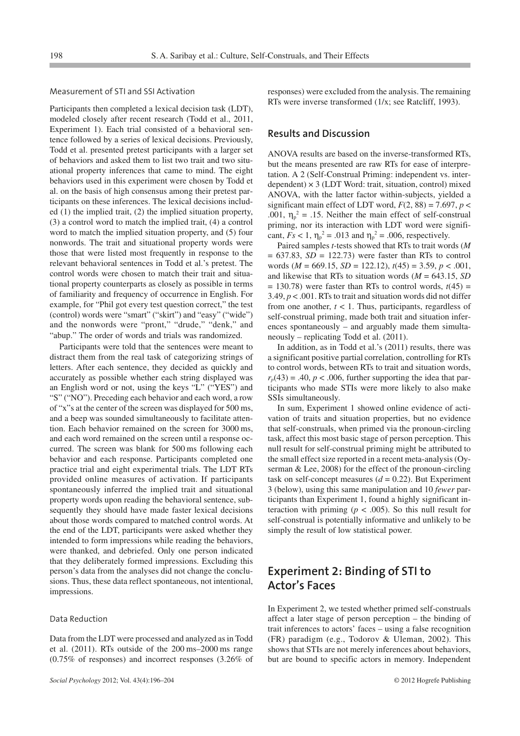#### Measurement of STI and SSI Activation

Participants then completed a lexical decision task (LDT), modeled closely after recent research (Todd et al., 2011, Experiment 1). Each trial consisted of a behavioral sentence followed by a series of lexical decisions. Previously, Todd et al. presented pretest participants with a larger set of behaviors and asked them to list two trait and two situational property inferences that came to mind. The eight behaviors used in this experiment were chosen by Todd et al. on the basis of high consensus among their pretest participants on these inferences. The lexical decisions included (1) the implied trait, (2) the implied situation property, (3) a control word to match the implied trait, (4) a control word to match the implied situation property, and (5) four nonwords. The trait and situational property words were those that were listed most frequently in response to the relevant behavioral sentences in Todd et al.'s pretest. The control words were chosen to match their trait and situational property counterparts as closely as possible in terms of familiarity and frequency of occurrence in English. For example, for "Phil got every test question correct," the test (control) words were "smart" ("skirt") and "easy" ("wide") and the nonwords were "pront," "drude," "denk," and "abup." The order of words and trials was randomized.

Participants were told that the sentences were meant to distract them from the real task of categorizing strings of letters. After each sentence, they decided as quickly and accurately as possible whether each string displayed was an English word or not, using the keys "L" ("YES") and "S" ("NO"). Preceding each behavior and each word, a row of "x"s at the center of the screen was displayed for 500 ms, and a beep was sounded simultaneously to facilitate attention. Each behavior remained on the screen for 3000 ms, and each word remained on the screen until a response occurred. The screen was blank for 500 ms following each behavior and each response. Participants completed one practice trial and eight experimental trials. The LDT RTs provided online measures of activation. If participants spontaneously inferred the implied trait and situational property words upon reading the behavioral sentence, subsequently they should have made faster lexical decisions about those words compared to matched control words. At the end of the LDT, participants were asked whether they intended to form impressions while reading the behaviors, were thanked, and debriefed. Only one person indicated that they deliberately formed impressions. Excluding this person's data from the analyses did not change the conclusions. Thus, these data reflect spontaneous, not intentional, impressions.

#### Data Reduction

Data from the LDT were processed and analyzed as in Todd et al. (2011). RTs outside of the 200 ms–2000 ms range (0.75% of responses) and incorrect responses (3.26% of responses) were excluded from the analysis. The remaining RTs were inverse transformed (1/x; see Ratcliff, 1993).

#### **Results and Discussion**

ANOVA results are based on the inverse-transformed RTs, but the means presented are raw RTs for ease of interpretation. A 2 (Self-Construal Priming: independent vs. interdependent)  $\times$  3 (LDT Word: trait, situation, control) mixed ANOVA, with the latter factor within-subjects, yielded a significant main effect of LDT word,  $F(2, 88) = 7.697$ ,  $p <$ .001,  $\eta_p^2 = .15$ . Neither the main effect of self-construal priming, nor its interaction with LDT word were significant,  $Fs < 1$ ,  $\eta_p^2 = .013$  and  $\eta_p^2 = .006$ , respectively.

Paired samples *t-*tests showed that RTs to trait words (*M*  $= 637.83$ ,  $SD = 122.73$ ) were faster than RTs to control words (*M* = 669.15, *SD* = 122.12), *t*(45) = 3.59, *p* < .001, and likewise that RTs to situation words (*M* = 643.15, *SD*  $= 130.78$ ) were faster than RTs to control words,  $t(45) =$ 3.49, *p* < .001. RTs to trait and situation words did not differ from one another, *t* < 1. Thus, participants, regardless of self-construal priming, made both trait and situation inferences spontaneously – and arguably made them simultaneously – replicating Todd et al. (2011).

In addition, as in Todd et al.'s (2011) results, there was a significant positive partial correlation, controlling for RTs to control words, between RTs to trait and situation words,  $r_p(43) = .40$ ,  $p < .006$ , further supporting the idea that participants who made STIs were more likely to also make SSIs simultaneously.

In sum, Experiment 1 showed online evidence of activation of traits and situation properties, but no evidence that self-construals, when primed via the pronoun-circling task, affect this most basic stage of person perception. This null result for self-construal priming might be attributed to the small effect size reported in a recent meta-analysis (Oyserman & Lee, 2008) for the effect of the pronoun-circling task on self-concept measures  $(d = 0.22)$ . But Experiment 3 (below), using this same manipulation and 10 *fewer* participants than Experiment 1, found a highly significant interaction with priming ( $p < .005$ ). So this null result for self-construal is potentially informative and unlikely to be simply the result of low statistical power.

# **Experiment 2: Binding of STI to Actor's Faces**

In Experiment 2, we tested whether primed self-construals affect a later stage of person perception – the binding of trait inferences to actors' faces – using a false recognition (FR) paradigm (e.g., Todorov & Uleman, 2002). This shows that STIs are not merely inferences about behaviors, but are bound to specific actors in memory. Independent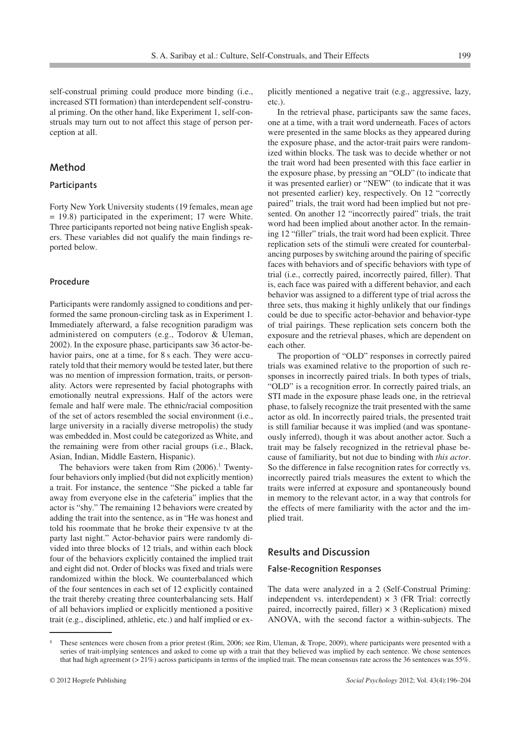self-construal priming could produce more binding (i.e., increased STI formation) than interdependent self-construal priming. On the other hand, like Experiment 1, self-construals may turn out to not affect this stage of person perception at all.

#### **Method**

#### **Participants**

Forty New York University students (19 females, mean age  $= 19.8$ ) participated in the experiment; 17 were White. Three participants reported not being native English speakers. These variables did not qualify the main findings reported below.

#### **Procedure**

Participants were randomly assigned to conditions and performed the same pronoun-circling task as in Experiment 1. Immediately afterward, a false recognition paradigm was administered on computers (e.g., Todorov & Uleman, 2002). In the exposure phase, participants saw 36 actor-behavior pairs, one at a time, for 8 s each. They were accurately told that their memory would be tested later, but there was no mention of impression formation, traits, or personality. Actors were represented by facial photographs with emotionally neutral expressions. Half of the actors were female and half were male. The ethnic/racial composition of the set of actors resembled the social environment (i.e., large university in a racially diverse metropolis) the study was embedded in. Most could be categorized as White, and the remaining were from other racial groups (i.e., Black, Asian, Indian, Middle Eastern, Hispanic).

The behaviors were taken from Rim  $(2006).$ <sup>1</sup> Twentyfour behaviors only implied (but did not explicitly mention) a trait. For instance, the sentence "She picked a table far away from everyone else in the cafeteria" implies that the actor is "shy." The remaining 12 behaviors were created by adding the trait into the sentence, as in "He was honest and told his roommate that he broke their expensive tv at the party last night." Actor-behavior pairs were randomly divided into three blocks of 12 trials, and within each block four of the behaviors explicitly contained the implied trait and eight did not. Order of blocks was fixed and trials were randomized within the block. We counterbalanced which of the four sentences in each set of 12 explicitly contained the trait thereby creating three counterbalancing sets. Half of all behaviors implied or explicitly mentioned a positive trait (e.g., disciplined, athletic, etc.) and half implied or explicitly mentioned a negative trait (e.g., aggressive, lazy, etc.).

In the retrieval phase, participants saw the same faces, one at a time, with a trait word underneath. Faces of actors were presented in the same blocks as they appeared during the exposure phase, and the actor-trait pairs were randomized within blocks. The task was to decide whether or not the trait word had been presented with this face earlier in the exposure phase, by pressing an "OLD" (to indicate that it was presented earlier) or "NEW" (to indicate that it was not presented earlier) key, respectively. On 12 "correctly paired" trials, the trait word had been implied but not presented. On another 12 "incorrectly paired" trials, the trait word had been implied about another actor. In the remaining 12 "filler" trials, the trait word had been explicit. Three replication sets of the stimuli were created for counterbalancing purposes by switching around the pairing of specific faces with behaviors and of specific behaviors with type of trial (i.e., correctly paired, incorrectly paired, filler). That is, each face was paired with a different behavior, and each behavior was assigned to a different type of trial across the three sets, thus making it highly unlikely that our findings could be due to specific actor-behavior and behavior-type of trial pairings. These replication sets concern both the exposure and the retrieval phases, which are dependent on each other.

The proportion of "OLD" responses in correctly paired trials was examined relative to the proportion of such responses in incorrectly paired trials. In both types of trials, "OLD" is a recognition error. In correctly paired trials, an STI made in the exposure phase leads one, in the retrieval phase, to falsely recognize the trait presented with the same actor as old. In incorrectly paired trials, the presented trait is still familiar because it was implied (and was spontaneously inferred), though it was about another actor. Such a trait may be falsely recognized in the retrieval phase because of familiarity, but not due to binding with *this actor*. So the difference in false recognition rates for correctly vs. incorrectly paired trials measures the extent to which the traits were inferred at exposure and spontaneously bound in memory to the relevant actor, in a way that controls for the effects of mere familiarity with the actor and the implied trait.

#### **Results and Discussion**

#### **False-Recognition Responses**

The data were analyzed in a 2 (Self-Construal Priming: independent vs. interdependent)  $\times$  3 (FR Trial: correctly paired, incorrectly paired, filler)  $\times$  3 (Replication) mixed ANOVA, with the second factor a within-subjects. The

<sup>-</sup> These sentences were chosen from a prior pretest (Rim, 2006; see Rim, Uleman, & Trope, 2009), where participants were presented with a series of trait-implying sentences and asked to come up with a trait that they believed was implied by each sentence. We chose sentences that had high agreement (> 21%) across participants in terms of the implied trait. The mean consensus rate across the 36 sentences was 55%.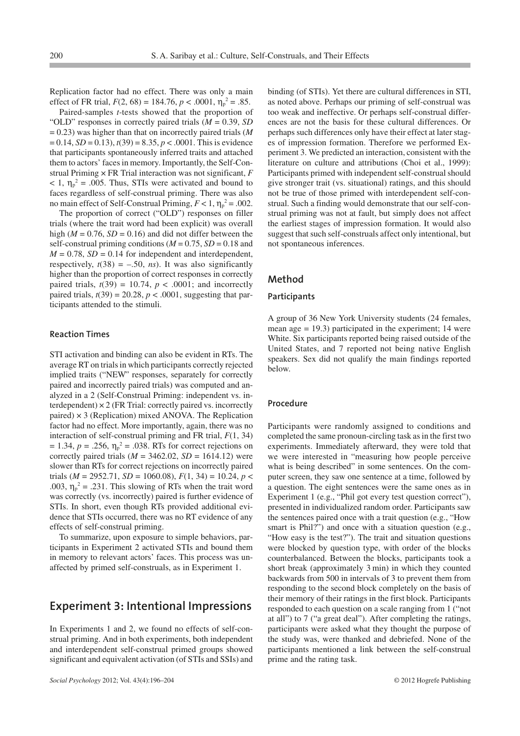Replication factor had no effect. There was only a main effect of FR trial,  $F(2, 68) = 184.76$ ,  $p < .0001$ ,  $\eta_p^2 = .85$ .

Paired-samples *t-*tests showed that the proportion of "OLD" responses in correctly paired trials (*M* = 0.39, *SD* = 0.23) was higher than that on incorrectly paired trials (*M*  $= 0.14$ , *SD* = 0.13),  $t(39) = 8.35$ ,  $p < .0001$ . This is evidence that participants spontaneously inferred traits and attached them to actors' faces in memory. Importantly, the Self-Construal Priming × FR Trial interaction was not significant, *F*  $< 1$ ,  $\eta_{\rm p}^2 = .005$ . Thus, STIs were activated and bound to faces regardless of self-construal priming. There was also no main effect of Self-Construal Priming,  $F < 1$ ,  $\eta_p^2 = .002$ .

The proportion of correct ("OLD") responses on filler trials (where the trait word had been explicit) was overall high ( $M = 0.76$ ,  $SD = 0.16$ ) and did not differ between the self-construal priming conditions ( $M = 0.75$ ,  $SD = 0.18$  and  $M = 0.78$ ,  $SD = 0.14$  for independent and interdependent, respectively,  $t(38) = -.50$ , *ns*). It was also significantly higher than the proportion of correct responses in correctly paired trials,  $t(39) = 10.74$ ,  $p < .0001$ ; and incorrectly paired trials,  $t(39) = 20.28$ ,  $p < .0001$ , suggesting that participants attended to the stimuli.

#### **Reaction Times**

STI activation and binding can also be evident in RTs. The average RT on trials in which participants correctly rejected implied traits ("NEW" responses, separately for correctly paired and incorrectly paired trials) was computed and analyzed in a 2 (Self-Construal Priming: independent vs. interdependent)  $\times$  2 (FR Trial: correctly paired vs. incorrectly paired)  $\times$  3 (Replication) mixed ANOVA. The Replication factor had no effect. More importantly, again, there was no interaction of self-construal priming and FR trial, *F*(1, 34)  $= 1.34, p = .256, \eta_p^2 = .038$ . RTs for correct rejections on correctly paired trials  $(M = 3462.02, SD = 1614.12)$  were slower than RTs for correct rejections on incorrectly paired trials (*M* = 2952.71, *SD* = 1060.08), *F*(1, 34) = 10.24, *p* < .003,  $\eta_p^2 = .231$ . This slowing of RTs when the trait word was correctly (vs. incorrectly) paired is further evidence of STIs. In short, even though RTs provided additional evidence that STIs occurred, there was no RT evidence of any effects of self-construal priming.

To summarize, upon exposure to simple behaviors, participants in Experiment 2 activated STIs and bound them in memory to relevant actors' faces. This process was unaffected by primed self-construals, as in Experiment 1.

### **Experiment 3: Intentional Impressions**

In Experiments 1 and 2, we found no effects of self-construal priming. And in both experiments, both independent and interdependent self-construal primed groups showed significant and equivalent activation (of STIs and SSIs) and binding (of STIs). Yet there are cultural differences in STI, as noted above. Perhaps our priming of self-construal was too weak and ineffective. Or perhaps self-construal differences are not the basis for these cultural differences. Or perhaps such differences only have their effect at later stages of impression formation. Therefore we performed Experiment 3. We predicted an interaction, consistent with the literature on culture and attributions (Choi et al., 1999): Participants primed with independent self-construal should give stronger trait (vs. situational) ratings, and this should not be true of those primed with interdependent self-construal. Such a finding would demonstrate that our self-construal priming was not at fault, but simply does not affect the earliest stages of impression formation. It would also suggest that such self-construals affect only intentional, but not spontaneous inferences.

#### **Method**

#### **Participants**

A group of 36 New York University students (24 females, mean age  $= 19.3$ ) participated in the experiment; 14 were White. Six participants reported being raised outside of the United States, and 7 reported not being native English speakers. Sex did not qualify the main findings reported below.

#### **Procedure**

Participants were randomly assigned to conditions and completed the same pronoun-circling task as in the first two experiments. Immediately afterward, they were told that we were interested in "measuring how people perceive what is being described" in some sentences. On the computer screen, they saw one sentence at a time, followed by a question. The eight sentences were the same ones as in Experiment 1 (e.g., "Phil got every test question correct"), presented in individualized random order. Participants saw the sentences paired once with a trait question (e.g., "How smart is Phil?") and once with a situation question (e.g., "How easy is the test?"). The trait and situation questions were blocked by question type, with order of the blocks counterbalanced. Between the blocks, participants took a short break (approximately 3 min) in which they counted backwards from 500 in intervals of 3 to prevent them from responding to the second block completely on the basis of their memory of their ratings in the first block. Participants responded to each question on a scale ranging from 1 ("not at all") to 7 ("a great deal"). After completing the ratings, participants were asked what they thought the purpose of the study was, were thanked and debriefed. None of the participants mentioned a link between the self-construal prime and the rating task.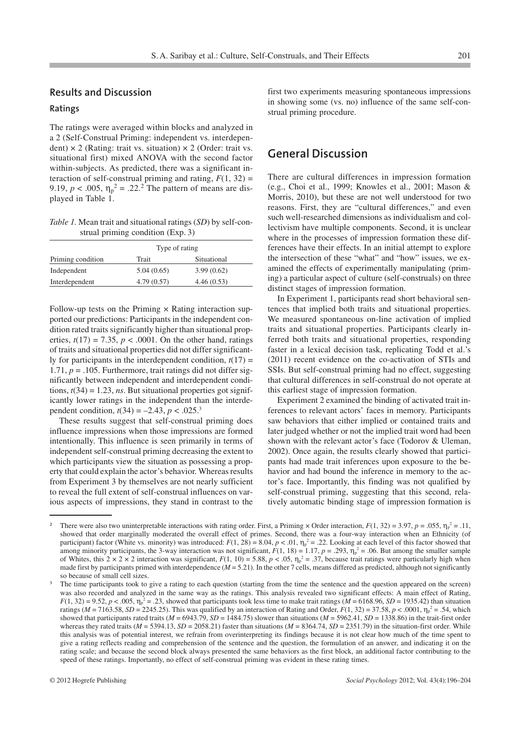#### **Results and Discussion**

#### **Ratings**

The ratings were averaged within blocks and analyzed in a 2 (Self-Construal Priming: independent vs. interdependent)  $\times$  2 (Rating: trait vs. situation)  $\times$  2 (Order: trait vs. situational first) mixed ANOVA with the second factor within-subjects. As predicted, there was a significant interaction of self-construal priming and rating,  $F(1, 32) =$ 9.19,  $p < .005$ ,  $\eta_p^2 = .22$ .<sup>2</sup> The pattern of means are displayed in Table 1.

*Table 1.* Mean trait and situational ratings (*SD*) by self-construal priming condition (Exp. 3)

|                   | Type of rating |             |
|-------------------|----------------|-------------|
| Priming condition | Trait          | Situational |
| Independent       | 5.04(0.65)     | 3.99(0.62)  |
| Interdependent    | 4.79(0.57)     | 4.46(0.53)  |

Follow-up tests on the Priming  $\times$  Rating interaction supported our predictions: Participants in the independent condition rated traits significantly higher than situational properties,  $t(17) = 7.35$ ,  $p < .0001$ . On the other hand, ratings of traits and situational properties did not differ significantly for participants in the interdependent condition,  $t(17)$  = 1.71,  $p = 0.105$ . Furthermore, trait ratings did not differ significantly between independent and interdependent conditions,  $t(34) = 1.23$ , *ns*. But situational properties got significantly lower ratings in the independent than the interdependent condition,  $t(34) = -2.43$ ,  $p < .025$ <sup>3</sup>

These results suggest that self-construal priming does influence impressions when those impressions are formed intentionally. This influence is seen primarily in terms of independent self-construal priming decreasing the extent to which participants view the situation as possessing a property that could explain the actor's behavior. Whereas results from Experiment 3 by themselves are not nearly sufficient to reveal the full extent of self-construal influences on various aspects of impressions, they stand in contrast to the

first two experiments measuring spontaneous impressions in showing some (vs. no) influence of the same self-construal priming procedure.

### **General Discussion**

There are cultural differences in impression formation (e.g., Choi et al., 1999; Knowles et al., 2001; Mason & Morris, 2010), but these are not well understood for two reasons. First, they are "cultural differences," and even such well-researched dimensions as individualism and collectivism have multiple components. Second, it is unclear where in the processes of impression formation these differences have their effects. In an initial attempt to explore the intersection of these "what" and "how" issues, we examined the effects of experimentally manipulating (priming) a particular aspect of culture (self-construals) on three distinct stages of impression formation.

In Experiment 1, participants read short behavioral sentences that implied both traits and situational properties. We measured spontaneous on-line activation of implied traits and situational properties. Participants clearly inferred both traits and situational properties, responding faster in a lexical decision task, replicating Todd et al.'s (2011) recent evidence on the co-activation of STIs and SSIs. But self-construal priming had no effect, suggesting that cultural differences in self-construal do not operate at this earliest stage of impression formation.

Experiment 2 examined the binding of activated trait inferences to relevant actors' faces in memory. Participants saw behaviors that either implied or contained traits and later judged whether or not the implied trait word had been shown with the relevant actor's face (Todorov & Uleman, 2002). Once again, the results clearly showed that participants had made trait inferences upon exposure to the behavior and had bound the inference in memory to the actor's face. Importantly, this finding was not qualified by self-construal priming, suggesting that this second, relatively automatic binding stage of impression formation is

There were also two uninterpretable interactions with rating order. First, a Priming  $\times$  Order interaction,  $F(1, 32) = 3.97$ ,  $p = .055$ ,  $\eta_p^2 = .11$ , showed that order marginally moderated the overall effect of primes. Second, there was a four-way interaction when an Ethnicity (of participant) factor (White vs. minority) was introduced:  $F(1, 28) = 8.04$ ,  $p < .01$ ,  $\eta_p^2 = .22$ . Looking at each level of this factor showed that among minority participants, the 3-way interaction was not significant,  $F(1, 18) = 1.17$ ,  $p = .293$ ,  $\eta_p^2 = .06$ . But among the smaller sample of Whites, this  $2 \times 2 \times 2$  interaction was significant,  $F(1, 10) = 5.88$ ,  $p < .05$ ,  $\eta_p^2 = .37$ , because trait ratings were particularly high when made first by participants primed with interdependence ( $M = 5.21$ ). In the other 7 cells, means differed as predicted, although not significantly so because of small cell sizes.

The time participants took to give a rating to each question (starting from the time the sentence and the question appeared on the screen) was also recorded and analyzed in the same way as the ratings. This analysis revealed two significant effects: A main effect of Rating,  $F(1, 32) = 9.52$ ,  $p < .005$ ,  $\eta_p^2 = .23$ , showed that participants took less time to make trait ratings (*M* = 6168.96, *SD* = 1935.42) than situation ratings (*M* = 7163.58, *SD* = 2245.25). This was qualified by an interaction of Rating and Order,  $F(1, 32) = 37.58$ ,  $p < .0001$ ,  $\eta_p^2 = .54$ , which showed that participants rated traits  $(M = 6943.79, SD = 1484.75)$  slower than situations  $(M = 5962.41, SD = 1338.86)$  in the trait-first order whereas they rated traits  $(M = 5394.13, SD = 2058.21)$  faster than situations  $(M = 8364.74, SD = 2351.79)$  in the situation-first order. While this analysis was of potential interest, we refrain from overinterpreting its findings because it is not clear how much of the time spent to give a rating reflects reading and comprehension of the sentence and the question, the formulation of an answer, and indicating it on the rating scale; and because the second block always presented the same behaviors as the first block, an additional factor contributing to the speed of these ratings. Importantly, no effect of self-construal priming was evident in these rating times.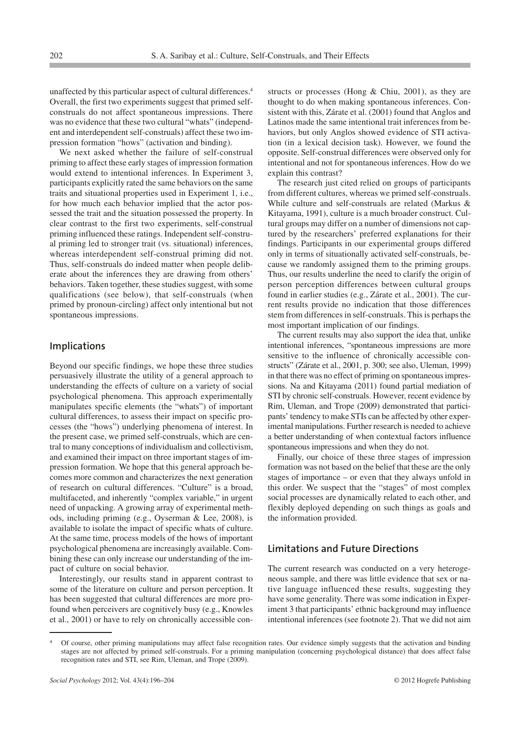unaffected by this particular aspect of cultural differences.4 Overall, the first two experiments suggest that primed selfconstruals do not affect spontaneous impressions. There was no evidence that these two cultural "whats" (independent and interdependent self-construals) affect these two impression formation "hows" (activation and binding).

We next asked whether the failure of self-construal priming to affect these early stages of impression formation would extend to intentional inferences. In Experiment 3, participants explicitly rated the same behaviors on the same traits and situational properties used in Experiment 1, i.e., for how much each behavior implied that the actor possessed the trait and the situation possessed the property. In clear contrast to the first two experiments, self-construal priming influenced these ratings. Independent self-construal priming led to stronger trait (vs. situational) inferences, whereas interdependent self-construal priming did not. Thus, self-construals do indeed matter when people deliberate about the inferences they are drawing from others' behaviors. Taken together, these studies suggest, with some qualifications (see below), that self-construals (when primed by pronoun-circling) affect only intentional but not spontaneous impressions.

#### **Implications**

Beyond our specific findings, we hope these three studies persuasively illustrate the utility of a general approach to understanding the effects of culture on a variety of social psychological phenomena. This approach experimentally manipulates specific elements (the "whats") of important cultural differences, to assess their impact on specific processes (the "hows") underlying phenomena of interest. In the present case, we primed self-construals, which are central to many conceptions of individualism and collectivism, and examined their impact on three important stages of impression formation. We hope that this general approach becomes more common and characterizes the next generation of research on cultural differences. "Culture" is a broad, multifaceted, and inherently "complex variable," in urgent need of unpacking. A growing array of experimental methods, including priming (e.g., Oyserman & Lee, 2008), is available to isolate the impact of specific whats of culture. At the same time, process models of the hows of important psychological phenomena are increasingly available. Combining these can only increase our understanding of the impact of culture on social behavior.

Interestingly, our results stand in apparent contrast to some of the literature on culture and person perception. It has been suggested that cultural differences are more profound when perceivers are cognitively busy (e.g., Knowles et al., 2001) or have to rely on chronically accessible constructs or processes (Hong & Chiu, 2001), as they are thought to do when making spontaneous inferences. Consistent with this, Zárate et al. (2001) found that Anglos and Latinos made the same intentional trait inferences from behaviors, but only Anglos showed evidence of STI activation (in a lexical decision task). However, we found the opposite. Self-construal differences were observed only for intentional and not for spontaneous inferences. How do we explain this contrast?

The research just cited relied on groups of participants from different cultures, whereas we primed self-construals. While culture and self-construals are related (Markus & Kitayama, 1991), culture is a much broader construct. Cultural groups may differ on a number of dimensions not captured by the researchers' preferred explanations for their findings. Participants in our experimental groups differed only in terms of situationally activated self-construals, because we randomly assigned them to the priming groups. Thus, our results underline the need to clarify the origin of person perception differences between cultural groups found in earlier studies (e.g., Zárate et al., 2001). The current results provide no indication that those differences stem from differences in self-construals. This is perhaps the most important implication of our findings.

The current results may also support the idea that, unlike intentional inferences, "spontaneous impressions are more sensitive to the influence of chronically accessible constructs" (Zárate et al., 2001, p. 300; see also, Uleman, 1999) in that there was no effect of priming on spontaneous impressions. Na and Kitayama (2011) found partial mediation of STI by chronic self-construals. However, recent evidence by Rim, Uleman, and Trope (2009) demonstrated that participants' tendency to make STIs can be affected by other experimental manipulations. Further research is needed to achieve a better understanding of when contextual factors influence spontaneous impressions and when they do not.

Finally, our choice of these three stages of impression formation was not based on the belief that these are the only stages of importance – or even that they always unfold in this order. We suspect that the "stages" of most complex social processes are dynamically related to each other, and flexibly deployed depending on such things as goals and the information provided.

#### **Limitations and Future Directions**

The current research was conducted on a very heterogeneous sample, and there was little evidence that sex or native language influenced these results, suggesting they have some generality. There was some indication in Experiment 3 that participants' ethnic background may influence intentional inferences (see footnote 2). That we did not aim

Of course, other priming manipulations may affect false recognition rates. Our evidence simply suggests that the activation and binding stages are not affected by primed self-construals. For a priming manipulation (concerning psychological distance) that does affect false recognition rates and STI, see Rim, Uleman, and Trope (2009).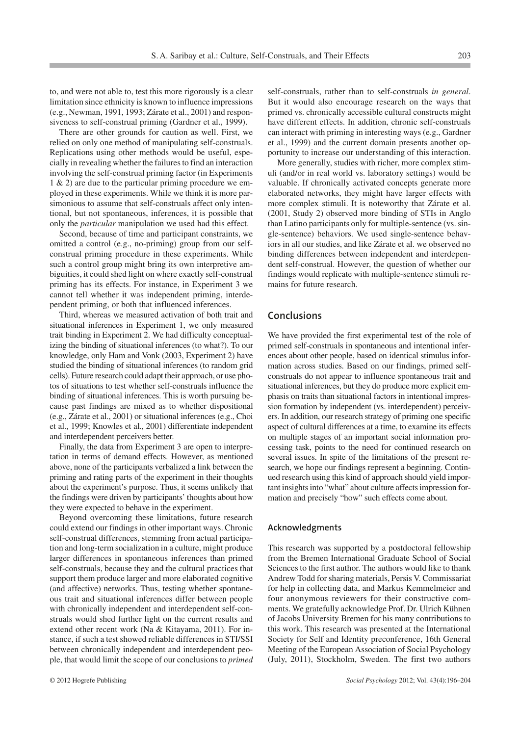to, and were not able to, test this more rigorously is a clear limitation since ethnicity is known to influence impressions (e.g., Newman, 1991, 1993; Zárate et al., 2001) and responsiveness to self-construal priming (Gardner et al., 1999).

There are other grounds for caution as well. First, we relied on only one method of manipulating self-construals. Replications using other methods would be useful, especially in revealing whether the failures to find an interaction involving the self-construal priming factor (in Experiments 1 & 2) are due to the particular priming procedure we employed in these experiments. While we think it is more parsimonious to assume that self-construals affect only intentional, but not spontaneous, inferences, it is possible that only the *particular* manipulation we used had this effect.

Second, because of time and participant constraints, we omitted a control (e.g., no-priming) group from our selfconstrual priming procedure in these experiments. While such a control group might bring its own interpretive ambiguities, it could shed light on where exactly self-construal priming has its effects. For instance, in Experiment 3 we cannot tell whether it was independent priming, interdependent priming, or both that influenced inferences.

Third, whereas we measured activation of both trait and situational inferences in Experiment 1, we only measured trait binding in Experiment 2. We had difficulty conceptualizing the binding of situational inferences (to what?). To our knowledge, only Ham and Vonk (2003, Experiment 2) have studied the binding of situational inferences (to random grid cells). Future research could adapt their approach, or use photos of situations to test whether self-construals influence the binding of situational inferences. This is worth pursuing because past findings are mixed as to whether dispositional (e.g., Zárate et al., 2001) or situational inferences (e.g., Choi et al., 1999; Knowles et al., 2001) differentiate independent and interdependent perceivers better.

Finally, the data from Experiment 3 are open to interpretation in terms of demand effects. However, as mentioned above, none of the participants verbalized a link between the priming and rating parts of the experiment in their thoughts about the experiment's purpose. Thus, it seems unlikely that the findings were driven by participants' thoughts about how they were expected to behave in the experiment.

Beyond overcoming these limitations, future research could extend our findings in other important ways. Chronic self-construal differences, stemming from actual participation and long-term socialization in a culture, might produce larger differences in spontaneous inferences than primed self-construals, because they and the cultural practices that support them produce larger and more elaborated cognitive (and affective) networks. Thus, testing whether spontaneous trait and situational inferences differ between people with chronically independent and interdependent self-construals would shed further light on the current results and extend other recent work (Na & Kitayama, 2011). For instance, if such a test showed reliable differences in STI/SSI between chronically independent and interdependent people, that would limit the scope of our conclusions to *primed* self-construals, rather than to self-construals *in general*. But it would also encourage research on the ways that primed vs. chronically accessible cultural constructs might have different effects. In addition, chronic self-construals can interact with priming in interesting ways (e.g., Gardner et al., 1999) and the current domain presents another opportunity to increase our understanding of this interaction.

More generally, studies with richer, more complex stimuli (and/or in real world vs. laboratory settings) would be valuable. If chronically activated concepts generate more elaborated networks, they might have larger effects with more complex stimuli. It is noteworthy that Zárate et al. (2001, Study 2) observed more binding of STIs in Anglo than Latino participants only for multiple-sentence (vs. single-sentence) behaviors. We used single-sentence behaviors in all our studies, and like Zárate et al. we observed no binding differences between independent and interdependent self-construal. However, the question of whether our findings would replicate with multiple-sentence stimuli remains for future research.

#### **Conclusions**

We have provided the first experimental test of the role of primed self-construals in spontaneous and intentional inferences about other people, based on identical stimulus information across studies. Based on our findings, primed selfconstruals do not appear to influence spontaneous trait and situational inferences, but they do produce more explicit emphasis on traits than situational factors in intentional impression formation by independent (vs. interdependent) perceivers. In addition, our research strategy of priming one specific aspect of cultural differences at a time, to examine its effects on multiple stages of an important social information processing task, points to the need for continued research on several issues. In spite of the limitations of the present research, we hope our findings represent a beginning. Continued research using this kind of approach should yield important insights into "what" about culture affects impression formation and precisely "how" such effects come about.

#### **Acknowledgments**

This research was supported by a postdoctoral fellowship from the Bremen International Graduate School of Social Sciences to the first author. The authors would like to thank Andrew Todd for sharing materials, Persis V. Commissariat for help in collecting data, and Markus Kemmelmeier and four anonymous reviewers for their constructive comments. We gratefully acknowledge Prof. Dr. Ulrich Kühnen of Jacobs University Bremen for his many contributions to this work. This research was presented at the International Society for Self and Identity preconference, 16th General Meeting of the European Association of Social Psychology (July, 2011), Stockholm, Sweden. The first two authors